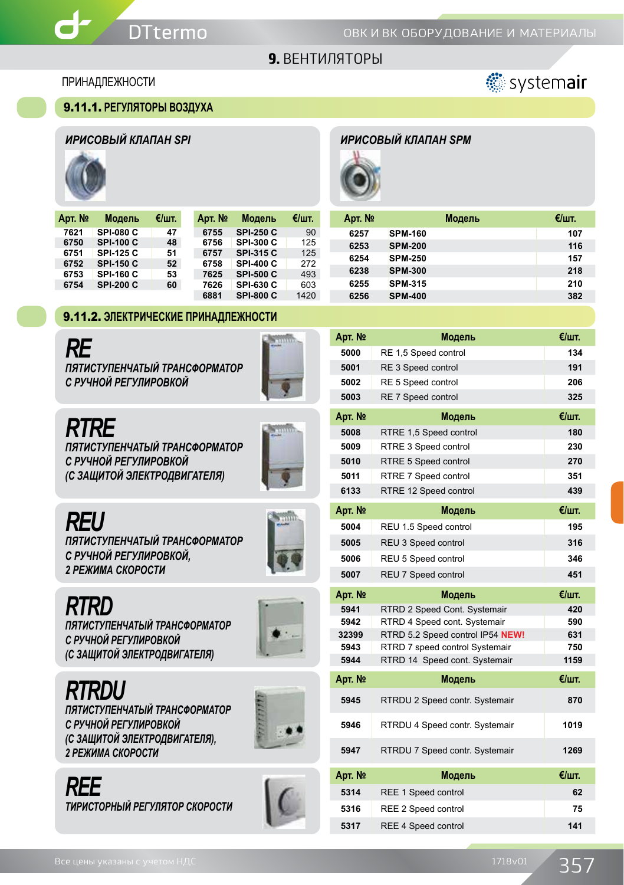#### ПРИНАДЛЕЖНОСТИ

#### 9.11.1. **РЕГУЛЯТОРЫ ВОЗДУХА**





| Арт. № | Модель           | €/шт. | Арт. № | Модель           | €/шт. |
|--------|------------------|-------|--------|------------------|-------|
| 7621   | SPI-080 C        | 47    | 6755   | <b>SPI 250 C</b> | 90    |
| 6750   | <b>SPI-100 C</b> | 48    | 6756   | <b>SPI 300 C</b> | 125   |
| 6751   | <b>SPI 125 C</b> | 51    | 6757   | <b>SPI 315 C</b> | 125   |
| 6752   | <b>SPI 150 C</b> | 52    | 6758   | SPI-400 C        | 272   |
| 6753   | <b>SPI 160 C</b> | 53    | 7625   | <b>SPI 500 C</b> | 493   |
| 6754   | <b>SPI 200 C</b> | 60    | 7626   | SPI-630 C        | 603   |
|        |                  |       | 6881   | <b>SPI 800 C</b> | 1420  |

#### 9.11.2. **ЭЛЕКТРИЧЕСКИЕ ПРИНАДЛЕЖНОСТИ**

*RE ПЯТИСТУПЕНЧАТЫЙ ТРАНСФОРМАТОР С РУЧНОЙ РЕГУЛИРОВКОЙ*



## *RTRE*

*ПЯТИСТУПЕНЧАТЫЙ ТРАНСФОРМАТОР С РУЧНОЙ РЕГУЛИРОВКОЙ (С ЗАЩИТОЙ ЭЛЕКТРОДВИГАТЕЛЯ)*



## *REU*

*ПЯТИСТУПЕНЧАТЫЙ ТРАНСФОРМАТОР С РУЧНОЙ РЕГУЛИРОВКОЙ, 2 РЕЖИМА СКОРОСТИ*



*RTRD ПЯТИСТУПЕНЧАТЫЙ ТРАНСФОРМАТОР С РУЧНОЙ РЕГУЛИРОВКОЙ (С ЗАЩИТОЙ ЭЛЕКТРОДВИГАТЕЛЯ)*



*RTRDU*

*ПЯТИСТУПЕНЧАТЫЙ ТРАНСФОРМАТОР С РУЧНОЙ РЕГУЛИРОВКОЙ (С ЗАЩИТОЙ ЭЛЕКТРОДВИГАТЕЛЯ), 2 РЕЖИМА СКОРОСТИ*



*REE ТИРИСТОРНЫЙ РЕГУЛЯТОР СКОРОСТИ* 



## *ИРИСОВЫЙ КЛАПАН SPI ИРИСОВЫЙ КЛАПАН SPM*



| Арт. № |                | Модель | €/шт. |
|--------|----------------|--------|-------|
| 6257   | <b>SPM-160</b> |        | 107   |
| 6253   | <b>SPM-200</b> |        | 116   |
| 6254   | <b>SPM 250</b> |        | 157   |
| 6238   | <b>SPM 300</b> |        | 218   |
| 6255   | <b>SPM 315</b> |        | 210   |
| 6256   | <b>SPM-400</b> |        | 382   |

| Арт. № | Модель               | €/шт. |
|--------|----------------------|-------|
| 5000   | RE 1,5 Speed control | 134   |
| 5001   | RE 3 Speed control   | 191   |
| 5002   | RE 5 Speed control   | 206   |
| 5003   | RE 7 Speed control   | 325   |
|        |                      |       |

| Арт. № | Модель                 | $\epsilon$ /шт. |
|--------|------------------------|-----------------|
| 5008   | RTRE 1,5 Speed control | 180             |
| 5009   | RTRE 3 Speed control   | 230             |
| 5010   | RTRE 5 Speed control   | 270             |
| 5011   | RTRE 7 Speed control   | 351             |
| 6133   | RTRE 12 Speed control  | 439             |

| Арт. №        | Модель                     | €/шт.            |
|---------------|----------------------------|------------------|
| 5004          | REU 1.5 Speed control      | 195              |
| 5005          | REU 3 Speed control        | 316              |
| 5006          | REU 5 Speed control        | 346              |
| 5007          | <b>REU 7 Speed control</b> | 451              |
| Account Advis | $11.7 - 11.7$              | $\mathbf{r}_{1}$ |

| Apt. Nº       | Модель                           | €/шт.            |
|---------------|----------------------------------|------------------|
| 5941          | RTRD 2 Speed Cont. Systemair     | 420              |
| 5942          | RTRD 4 Speed cont. Systemair     | 590              |
| 32399         | RTRD 5.2 Speed control IP54 NEW! | 631              |
| 5943          | RTRD 7 speed control Systemair   | 750              |
| 5944          | RTRD 14 Speed cont. Systemair    | 1159             |
| Account Adapt |                                  | $\mathbf{r}_{1}$ |

| Арт. № | Модель                         | €/шт. |
|--------|--------------------------------|-------|
| 5945   | RTRDU 2 Speed contr. Systemair | 870   |
| 5946   | RTRDU 4 Speed contr. Systemair | 1019  |
| 5947   | RTRDU 7 Speed contr. Systemair | 1269  |
| Арт. № | Модель                         | €/шт. |
| 5314   | REE 1 Speed control            | 62    |
| 5316   | REE 2 Speed control            | 75    |
| 5317   | <b>REE 4 Speed control</b>     | 141   |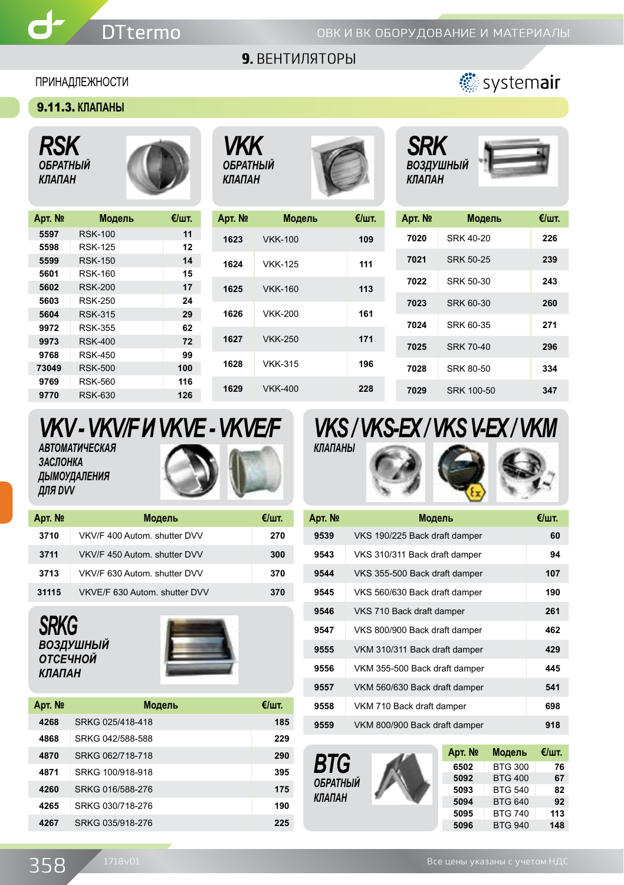## 9. ВЕНТИЛЯТОРЫ

#### ПРИНАДЛЕЖНОСТИ

 $\mathbf d$ 

#### 9.11.3. **КЛАПАНЫ**

*RSK ОБРАТНЫЙ КЛАПАН*



*VKK ОБРАТНЫЙ КЛАПАН*



| Арт. № | Модель         | €/шт. |
|--------|----------------|-------|
| 1623   | <b>VKK-100</b> | 109   |
| 1624   | <b>VKK-125</b> | 111   |
| 1625   | <b>VKK-160</b> | 113   |
| 1626   | <b>VKK-200</b> | 161   |
| 1627   | <b>VKK-250</b> | 171   |
| 1628   | <b>VKK-315</b> | 196   |
| 1629   | <b>VKK-400</b> | 228   |



Systemair

| Арт. № | Модель           | €/шт. |
|--------|------------------|-------|
| 7020   | SRK 40-20        | 226   |
| 7021   | <b>SRK 50-25</b> | 239   |
| 7022   | SRK 50-30        | 243   |
| 7023   | SRK 60-30        | 260   |
| 7024   | SRK 60-35        | 271   |
| 7025   | <b>SRK 70-40</b> | 296   |
| 7028   | <b>SRK 80-50</b> | 334   |
| 7029   | SRK 100-50       | 347   |

## *VKV - VKV/F И VKVE - VKVE/F АВТОМАТИЧЕСКАЯ ЗАСЛОНКА ДЫМОУДАЛЕНИЯ ДЛЯ DVV*

| Арт. № | Модель                        | €/шт. |
|--------|-------------------------------|-------|
| 3710   | VKV/F 400 Autom, shutter DVV  | 270   |
| 3711   | VKV/F 450 Autom, shutter DVV  | 300   |
| 3713   | VKV/F 630 Autom, shutter DVV  | 370   |
| 31115  | VKVE/F 630 Autom, shutter DVV | 370   |

## *SRKG ВОЗДУШНЫЙ ОТСЕЧНОЙ КЛАПАН*



| Арт. № | Модель           | €/шт. |
|--------|------------------|-------|
| 4268   | SRKG 025/418-418 | 185   |
| 4868   | SRKG 042/588-588 | 229   |
| 4870   | SRKG 062/718-718 | 290   |
| 4871   | SRKG 100/918-918 | 395   |
| 4260   | SRKG 016/588-276 | 175   |
| 4265   | SRKG 030/718-276 | 190   |
| 4267   | SRKG 035/918-276 | 225   |



| Арт. № | Модель                        | €/шт. |
|--------|-------------------------------|-------|
| 9539   | VKS 190/225 Back draft damper | 60    |
| 9543   | VKS 310/311 Back draft damper | 94    |
| 9544   | VKS 355-500 Back draft damper | 107   |
| 9545   | VKS 560/630 Back draft damper | 190   |
| 9546   | VKS 710 Back draft damper     | 261   |
| 9547   | VKS 800/900 Back draft damper | 462   |
| 9555   | VKM 310/311 Back draft damper | 429   |
| 9556   | VKM 355-500 Back draft damper | 445   |
| 9557   | VKM 560/630 Back draft damper | 541   |
| 9558   | VKM 710 Back draft damper     | 698   |
| 9559   | VKM 800/900 Back draft damper | 918   |

*BTG ОБРАТНЫЙ КЛАПАН*



| Арт. № | Модель         | €/шт. |
|--------|----------------|-------|
| 6502   | <b>BTG 300</b> | 76    |
| 5092   | <b>BTG 400</b> | 67    |
| 5093   | <b>BTG 540</b> | 82    |
| 5094   | <b>BTG 640</b> | 92    |
| 5095   | <b>BTG 740</b> | 113   |
| 5096   | <b>BTG 940</b> | 148   |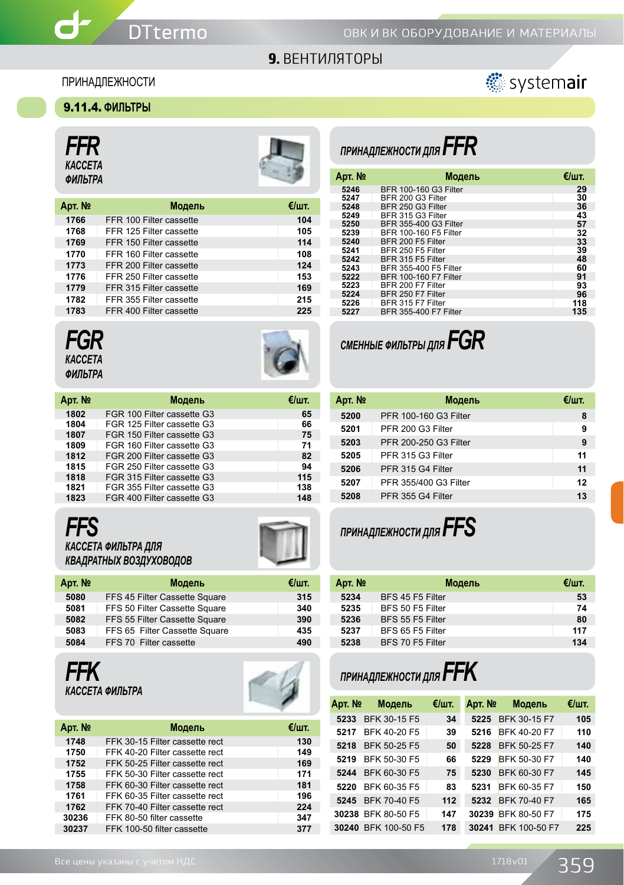#### ПРИНАДЛЕЖНОСТИ



## 9.11.4. **ФИЛЬТРЫ**

*FFR КАССЕТА*

 $\mathbf{d}$ -



| Арт. № | Модель                  | €/шт. |
|--------|-------------------------|-------|
| 1766   | FFR 100 Filter cassette | 104   |
| 1768   | FFR 125 Filter cassette | 105   |
| 1769   | FFR 150 Filter cassette | 114   |
| 1770   | FFR 160 Filter cassette | 108   |
| 1773   | FFR 200 Filter cassette | 124   |
| 1776   | FFR 250 Filter cassette | 153   |
| 1779   | FFR 315 Filter cassette | 169   |
| 1782   | FFR 355 Filter cassette | 215   |
| 1783   | FFR 400 Filter cassette | 225   |

# *ПРИНАДЛЕЖНОСТИ ДЛЯ FFR*

| ,,, , <b>,,,,</b> ,,,<br>ФИЛЬТРА |                         | - 19  | Арт. № | Модель                | €/шт. |
|----------------------------------|-------------------------|-------|--------|-----------------------|-------|
|                                  |                         |       | 5246   | BFR 100-160 G3 Filter | 29    |
|                                  |                         |       | 5247   | BFR 200 G3 Filter     | 30    |
| <b>.рт. №</b>                    | Модель                  | €/шт. | 5248   | BFR 250 G3 Filter     | 36    |
| 1766                             | FFR 100 Filter cassette | 104   | 5249   | BFR 315 G3 Filter     | 43    |
|                                  |                         |       | 5250   | BFR 355-400 G3 Filter | 57    |
| 1768                             | FFR 125 Filter cassette | 105   | 5239   | BFR 100-160 F5 Filter | 32    |
| 1769                             | FFR 150 Filter cassette | 114   | 5240   | BFR 200 F5 Filter     | 33    |
| 1770                             | FFR 160 Filter cassette | 108   | 5241   | BFR 250 F5 Filter     | 39    |
|                                  |                         |       | 5242   | BFR 315 F5 Filter     | 48    |
| 1773                             | FFR 200 Filter cassette | 124   | 5243   | BFR 355-400 F5 Filter | 60    |
| 1776                             | FFR 250 Filter cassette | 153   | 5222   | BFR 100-160 F7 Filter | 91    |
| 1779                             | FFR 315 Filter cassette | 169   | 5223   | BFR 200 F7 Filter     | 93    |
| 1782                             | FFR 355 Filter cassette | 215   | 5224   | BFR 250 F7 Filter     | 96    |
|                                  |                         |       | 5226   | BFR 315 F7 Filter     | 118   |
| 1783                             | FFR 400 Filter cassette | 225   | 5227   | BFR 355-400 F7 Filter | 135   |
|                                  |                         |       |        |                       |       |







| Арт. № | Модель                     | €/шт. |
|--------|----------------------------|-------|
| 1802   | FGR 100 Filter cassette G3 | 65    |
| 1804   | FGR 125 Filter cassette G3 | 66    |
| 1807   | FGR 150 Filter cassette G3 | 75    |
| 1809   | FGR 160 Filter cassette G3 | 71    |
| 1812   | FGR 200 Filter cassette G3 | 82    |
| 1815   | FGR 250 Filter cassette G3 | 94    |
| 1818   | FGR 315 Filter cassette G3 | 115   |
| 1821   | FGR 355 Filter cassette G3 | 138   |
| 1823   | FGR 400 Filter cassette G3 | 148   |





| Арт. № | Модель           | €/шт. |
|--------|------------------|-------|
| 5234   | BFS 45 F5 Filter | 53    |
| 5235   | BFS 50 F5 Filter | 74    |
| 5236   | BFS 55 F5 Filter | 80    |
| 5237   | BFS 65 F5 Filter | 117   |
| 5238   | BFS 70 F5 Filter | 134   |

# *ПРИНАДЛЕЖНОСТИ ДЛЯ FFK*

| Арт. № | Модель              | €/шт. | Арт. № | Модель              | €/шт. |
|--------|---------------------|-------|--------|---------------------|-------|
| 5233   | BFK 30-15 F5        | 34    | 5225   | BFK 30-15 F7        | 105   |
| 5217   | BFK 40-20 F5        | 39    | 5216   | BFK 40-20 F7        | 110   |
| 5218   | BFK 50-25 F5        | 50    | 5228   | BFK 50-25 F7        | 140   |
| 5219   | BFK 50-30 F5        | 66    | 5229   | BFK 50-30 F7        | 140   |
| 5244   | BFK 60-30 F5        | 75    | 5230   | BFK 60-30 F7        | 145   |
| 5220   | BFK 60-35 F5        | 83    | 5231   | BFK 60-35 F7        | 150   |
| 5245   | <b>BFK 70-40 F5</b> | 112   | 5232   | <b>BFK 70-40 F7</b> | 165   |
| 30238  | BFK 80-50 F5        | 147   | 30239  | BFK 80-50 F7        | 175   |
|        | 30240 BFK 100-50 F5 | 178   | 30241  | BFK 100-50 F7       | 225   |

| <b>FFS</b>          |  |
|---------------------|--|
| КАССЕТА ФИЛЬТРА ДЛЯ |  |





FFS 65 Filter Cassette Square **435**

**FFS 70 Filter cassette** 

*FFK КАССЕТА ФИЛЬТРА*



| Арт. № | Модель                         | €/шт. |
|--------|--------------------------------|-------|
| 1748   | FFK 30-15 Filter cassette rect | 130   |
| 1750   | FFK 40-20 Filter cassette rect | 149   |
| 1752   | FFK 50-25 Filter cassette rect | 169   |
| 1755   | FFK 50-30 Filter cassette rect | 171   |
| 1758   | FFK 60-30 Filter cassette rect | 181   |
| 1761   | FFK 60-35 Filter cassette rect | 196   |
| 1762   | FFK 70-40 Filter cassette rect | 224   |
| 30236  | FFK 80-50 filter cassette      | 347   |
| 30237  | FFK 100-50 filter cassette     | 377   |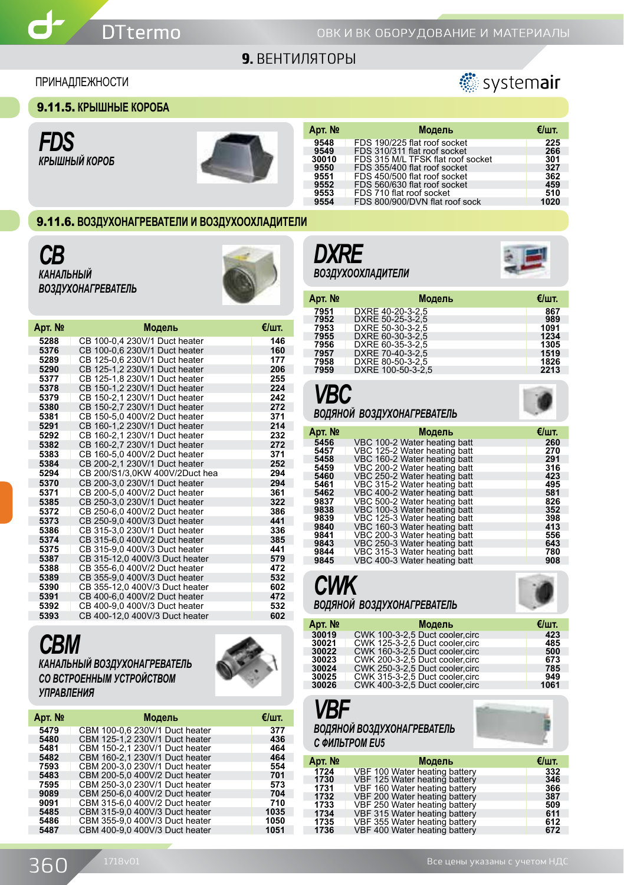

#### ПРИНАДЛЕЖНОСТИ



9.11.5. **КРЫШНЫЕ КОРОБА**

*FDS КРЫШНЫЙ КОРОБ*



| Арт. № | Модель                            | €/шт. |
|--------|-----------------------------------|-------|
| 9548   | FDS 190/225 flat roof socket      | 225   |
| 9549   | FDS 310/311 flat roof socket      | 266   |
| 30010  | FDS 315 M/L TFSK flat roof socket | 301   |
| 9550   | FDS 355/400 flat roof socket      | 327   |
| 9551   | FDS 450/500 flat roof socket      | 362   |
| 9552   | FDS 560/630 flat roof socket      | 459   |
| 9553   | FDS 710 flat roof socket          | 510   |
| 9554   | FDS 800/900/DVN flat roof sock    | 1020  |
|        |                                   |       |

#### 9.11.6. **ВОЗДУХОНАГРЕВАТЕЛИ И ВОЗДУХООХЛАДИТЕЛИ**

*CB КАНАЛЬНЫЙ ВОЗДУХОНАГРЕВАТЕЛЬ*



| Арт. № | Модель                         | €/шт. |
|--------|--------------------------------|-------|
| 5288   | CB 100-0.4 230V/1 Duct heater  | 146   |
| 5376   | CB 100-0,6 230V/1 Duct heater  | 160   |
| 5289   | CB 125-0.6 230V/1 Duct heater  | 177   |
| 5290   | CB 125-1.2 230V/1 Duct heater  | 206   |
| 5377   | CB 125-1.8 230V/1 Duct heater  | 255   |
| 5378   | CB 150-1.2 230V/1 Duct heater  | 224   |
| 5379   | CB 150-2.1 230V/1 Duct heater  | 242   |
| 5380   | CB 150-2.7 230V/1 Duct heater  | 272   |
| 5381   | CB 150-5.0 400V/2 Duct heater  | 371   |
| 5291   | CB 160-1.2 230V/1 Duct heater  | 214   |
| 5292   | CB 160-2.1 230V/1 Duct heater  | 232   |
| 5382   | CB 160-2.7 230V/1 Duct heater  | 272   |
| 5383   | CB 160-5.0 400V/2 Duct heater  | 371   |
| 5384   | CB 200-2.1 230V/1 Duct heater  | 252   |
| 5294   | CB 200/S1/3.0KW 400V/2Duct hea | 294   |
| 5370   | CB 200-3.0 230V/1 Duct heater  | 294   |
| 5371   | CB 200-5.0 400V/2 Duct heater  | 361   |
| 5385   | CB 250-3,0 230V/1 Duct heater  | 322   |
| 5372   | CB 250-6.0 400V/2 Duct heater  | 386   |
| 5373   | CB 250-9.0 400V/3 Duct heater  | 441   |
| 5386   | CB 315-3.0 230V/1 Duct heater  | 336   |
| 5374   | CB 315-6.0 400V/2 Duct heater  | 385   |
| 5375   | CB 315-9.0 400V/3 Duct heater  | 441   |
| 5387   | CB 315-12,0 400V/3 Duct heater | 579   |
| 5388   | CB 355-6.0 400V/2 Duct heater  | 472   |
| 5389   | CB 355-9.0 400V/3 Duct heater  | 532   |
| 5390   | CB 355-12.0 400V/3 Duct heater | 602   |
| 5391   | CB 400-6.0 400V/2 Duct heater  | 472   |
| 5392   | CB 400-9,0 400V/3 Duct heater  | 532   |
| 5393   | CB 400-12,0 400V/3 Duct heater | 602   |

## *CBM КАНАЛЬНЫЙ ВОЗДУХОНАГРЕВАТЕЛЬ СО ВСТРОЕННЫМ УСТРОЙСТВОМ УПРАВЛЕНИЯ*



| Арт. № | Модель                         | €/шт. |
|--------|--------------------------------|-------|
| 5479   | CBM 100-0.6 230V/1 Duct heater | 377   |
| 5480   | CBM 125-1.2 230V/1 Duct heater | 436   |
| 5481   | CBM 150-2.1 230V/1 Duct heater | 464   |
| 5482   | CBM 160-2,1 230V/1 Duct heater | 464   |
| 7593   | CBM 200-3.0 230V/1 Duct heater | 554   |
| 5483   | CBM 200-5.0 400V/2 Duct heater | 701   |
| 7595   | CBM 250-3,0 230V/1 Duct heater | 573   |
| 9089   | CBM 250-6.0 400V/2 Duct heater | 704   |
| 9091   | CBM 315-6.0 400V/2 Duct heater | 710   |
| 5485   | CBM 315-9,0 400V/3 Duct heater | 1035  |
| 5486   | CBM 355-9.0 400V/3 Duct heater | 1050  |
| 5487   | CBM 400-9.0 400V/3 Duct heater | 1051  |
|        |                                |       |





| Арт. № | Модель            | €/шт. |
|--------|-------------------|-------|
| 7951   | DXRE 40-20-3-2.5  | 867   |
| 7952   | DXRE 50-25-3-2.5  | 989   |
| 7953   | DXRE 50-30-3-2.5  | 1091  |
| 7955   | DXRE 60-30-3-2.5  | 1234  |
| 7956   | DXRE 60-35-3-2.5  | 1305  |
| 7957   | DXRE 70-40-3-2.5  | 1519  |
| 7958   | DXRE 80-50-3-2.5  | 1826  |
| 7959   | DXRE 100-50-3-2.5 | 2213  |

# *VBC*

#### *ВОДЯНОЙ ВОЗДУХОНАГРЕВАТЕЛЬ*

| Арт. № | Модель                       | €/шт. |
|--------|------------------------------|-------|
| 5456   | VBC 100-2 Water heating batt | 260   |
| 5457   | VBC 125-2 Water heating batt | 270   |
| 5458   | VBC 160-2 Water heating batt | 291   |
| 5459   | VBC 200-2 Water heating batt | 316   |
| 5460   | VBC 250-2 Water heating batt | 423   |
| 5461   | VBC 315-2 Water heating batt | 495   |
| 5462   | VBC 400-2 Water heating batt | 581   |
| 9837   | VBC 500-2 Water heating batt | 826   |
| 9838   | VBC 100-3 Water heating batt | 352   |
| 9839   | VBC 125-3 Water heating batt | 398   |
| 9840   | VBC 160-3 Water heating batt | 413   |
| 9841   | VBC 200-3 Water heating batt | 556   |
| 9843   | VBC 250-3 Water heating batt | 643   |
| 9844   | VBC 315-3 Water heating batt | 780   |
| 9845   | VBC 400-3 Water heating batt | 908   |



## *ВОДЯНОЙ ВОЗДУХОНАГРЕВАТЕЛЬ*

| Арт. № | Модель                          | €/шт. |
|--------|---------------------------------|-------|
| 30019  | CWK 100-3-2.5 Duct cooler.circ  | 423   |
| 30021  | CWK 125-3-2.5 Duct cooler.circ  | 485   |
| 30022  | CWK 160-3-2.5 Duct cooler.circ  | 500   |
| 30023  | CWK 200-3-2.5 Duct cooler.circ  | 673   |
| 30024  | CWK 250-3-2.5 Duct cooler.circ  | 785   |
| 30025  | CWK 315-3-2.5 Duct cooler.circ  | 949   |
| 30026  | CWK 400-3-2,5 Duct cooler, circ | 1061  |

## *VBF ВОДЯНОЙ ВОЗДУХОНАГРЕВАТЕЛЬ С ФИЛЬТРОМ EU5*

| Арт. № | Модель                        | €/шт. |
|--------|-------------------------------|-------|
| 1724   | VBF 100 Water heating battery | 332   |
| 1730   | VBF 125 Water heating battery | 346   |
| 1731   | VBF 160 Water heating battery | 366   |
| 1732   | VBF 200 Water heating battery | 387   |
| 1733   | VBF 250 Water heating battery | 509   |
| 1734   | VBF 315 Water heating battery | 611   |
| 1735   | VBF 355 Water heating battery | 612   |
| 1736   | VBF 400 Water heating battery | 672   |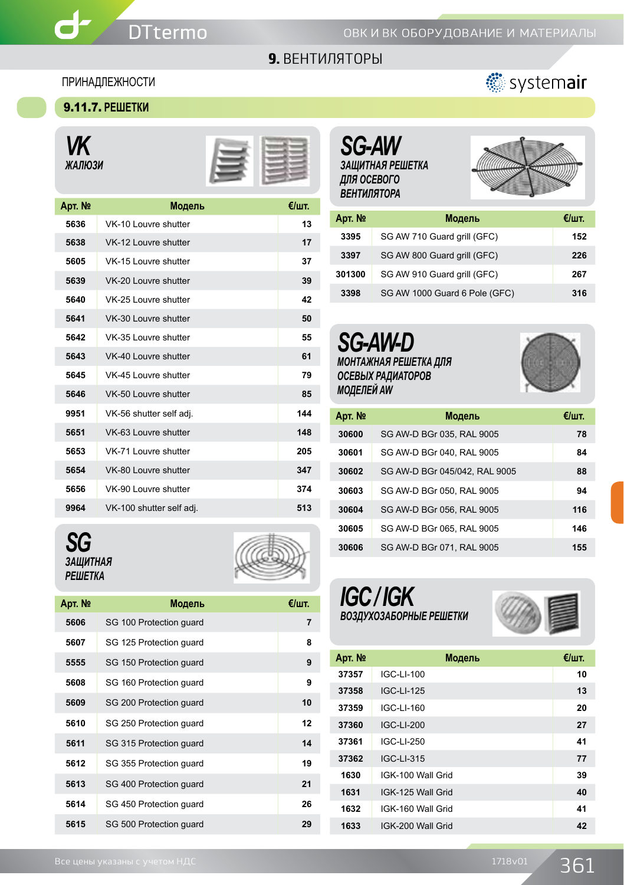#### ПРИНАДЛЕЖНОСТИ

#### 9.11.7. **РЕШЕТКИ**

*VK ЖАЛЮЗИ*

ď



| Apт. № | Модель                   | €/шт. |
|--------|--------------------------|-------|
| 5636   | VK-10 Louvre shutter     | 13    |
| 5638   | VK-12 Louvre shutter     | 17    |
| 5605   | VK-15 Louvre shutter     | 37    |
| 5639   | VK-20 Louvre shutter     | 39    |
| 5640   | VK-25 Louvre shutter     | 42    |
| 5641   | VK-30 Louvre shutter     | 50    |
| 5642   | VK-35 Louvre shutter     | 55    |
| 5643   | VK-40 Louvre shutter     | 61    |
| 5645   | VK-45 Louvre shutter     | 79    |
| 5646   | VK-50 Louvre shutter     | 85    |
| 9951   | VK-56 shutter self adj.  | 144   |
| 5651   | VK-63 Louvre shutter     | 148   |
| 5653   | VK-71 Louvre shutter     | 205   |
| 5654   | VK-80 Louvre shutter     | 347   |
| 5656   | VK-90 Louvre shutter     | 374   |
| 9964   | VK-100 shutter self adj. | 513   |





| Арт. № | Модель                  | €/шт.          |
|--------|-------------------------|----------------|
| 5606   | SG 100 Protection quard | $\overline{7}$ |
| 5607   | SG 125 Protection quard | 8              |
| 5555   | SG 150 Protection quard | 9              |
| 5608   | SG 160 Protection quard | 9              |
| 5609   | SG 200 Protection quard | 10             |
| 5610   | SG 250 Protection quard | 12             |
| 5611   | SG 315 Protection guard | 14             |
| 5612   | SG 355 Protection quard | 19             |
| 5613   | SG 400 Protection quard | 21             |
| 5614   | SG 450 Protection quard | 26             |
| 5615   | SG 500 Protection quard | 29             |





## *SG-AW ЗАЩИТНАЯ РЕШЕТКА ДЛЯ ОСЕВОГО ВЕНТИЛЯТОРА*



| Арт. № | Модель                        | €/шт. |
|--------|-------------------------------|-------|
| 3395   | SG AW 710 Guard grill (GFC)   | 152   |
| 3397   | SG AW 800 Guard grill (GFC)   | 226   |
| 301300 | SG AW 910 Guard grill (GFC)   | 267   |
| 3398   | SG AW 1000 Guard 6 Pole (GFC) | 316   |





| Арт. № | Модель                        | €/шт. |
|--------|-------------------------------|-------|
| 30600  | SG AW-D BGr 035, RAL 9005     | 78    |
| 30601  | SG AW-D BGr 040, RAL 9005     | 84    |
| 30602  | SG AW-D BGr 045/042, RAL 9005 | 88    |
| 30603  | SG AW-D BGr 050, RAL 9005     | 94    |
| 30604  | SG AW-D BGr 056, RAL 9005     | 116   |
| 30605  | SG AW-D BGr 065, RAL 9005     | 146   |
| 30606  | SG AW-D BGr 071, RAL 9005     | 155   |





| Арт. № | Модель            | $\epsilon$ /urr. |
|--------|-------------------|------------------|
| 37357  | IGC-LI-100        | 10               |
| 37358  | IGC-LI-125        | 13               |
| 37359  | IGC-LI-160        | 20               |
| 37360  | IGC-LI-200        | 27               |
| 37361  | IGC-LI-250        | 41               |
| 37362  | IGC-LI-315        | 77               |
| 1630   | IGK-100 Wall Grid | 39               |
| 1631   | IGK-125 Wall Grid | 40               |
| 1632   | IGK-160 Wall Grid | 41               |
| 1633   | IGK-200 Wall Grid | 42               |